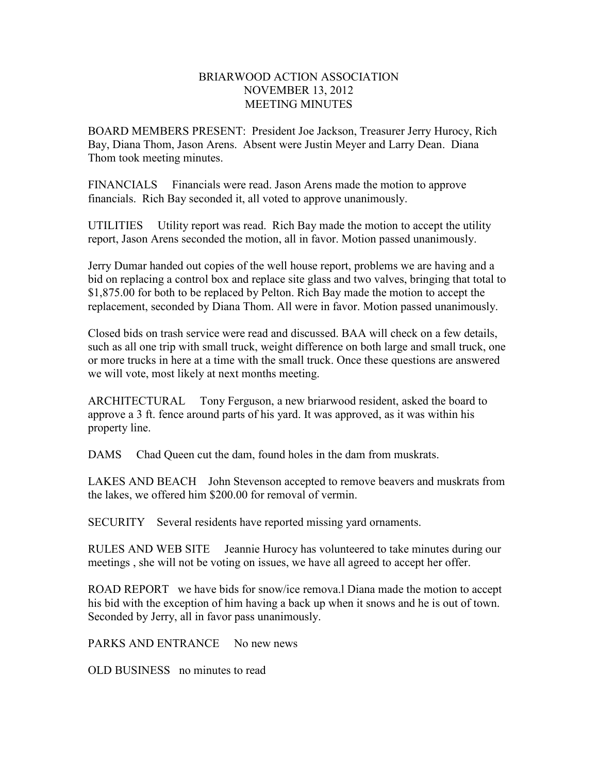## BRIARWOOD ACTION ASSOCIATION NOVEMBER 13, 2012 MEETING MINUTES

BOARD MEMBERS PRESENT: President Joe Jackson, Treasurer Jerry Hurocy, Rich Bay, Diana Thom, Jason Arens. Absent were Justin Meyer and Larry Dean. Diana Thom took meeting minutes.

FINANCIALS Financials were read. Jason Arens made the motion to approve financials. Rich Bay seconded it, all voted to approve unanimously.

UTILITIES Utility report was read. Rich Bay made the motion to accept the utility report, Jason Arens seconded the motion, all in favor. Motion passed unanimously.

Jerry Dumar handed out copies of the well house report, problems we are having and a bid on replacing a control box and replace site glass and two valves, bringing that total to \$1,875.00 for both to be replaced by Pelton. Rich Bay made the motion to accept the replacement, seconded by Diana Thom. All were in favor. Motion passed unanimously.

Closed bids on trash service were read and discussed. BAA will check on a few details, such as all one trip with small truck, weight difference on both large and small truck, one or more trucks in here at a time with the small truck. Once these questions are answered we will vote, most likely at next months meeting.

ARCHITECTURAL Tony Ferguson, a new briarwood resident, asked the board to approve a 3 ft. fence around parts of his yard. It was approved, as it was within his property line.

DAMS Chad Queen cut the dam, found holes in the dam from muskrats.

LAKES AND BEACH John Stevenson accepted to remove beavers and muskrats from the lakes, we offered him \$200.00 for removal of vermin.

SECURITY Several residents have reported missing yard ornaments.

RULES AND WEB SITE Jeannie Hurocy has volunteered to take minutes during our meetings , she will not be voting on issues, we have all agreed to accept her offer.

ROAD REPORT we have bids for snow/ice remova.l Diana made the motion to accept his bid with the exception of him having a back up when it snows and he is out of town. Seconded by Jerry, all in favor pass unanimously.

PARKS AND ENTRANCE No new news

OLD BUSINESS no minutes to read